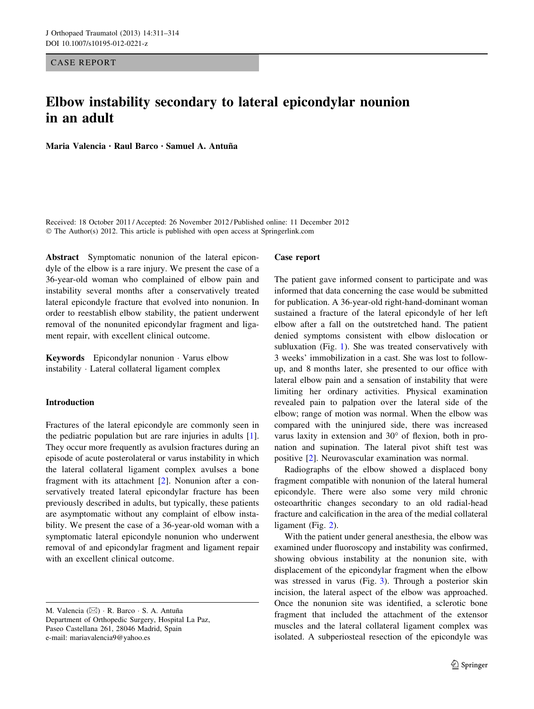CASE REPORT

# Elbow instability secondary to lateral epicondylar nounion in an adult

Maria Valencia · Raul Barco · Samuel A. Antuña

Received: 18 October 2011 / Accepted: 26 November 2012 / Published online: 11 December 2012 © The Author(s) 2012. This article is published with open access at Springerlink.com

Abstract Symptomatic nonunion of the lateral epicondyle of the elbow is a rare injury. We present the case of a 36-year-old woman who complained of elbow pain and instability several months after a conservatively treated lateral epicondyle fracture that evolved into nonunion. In order to reestablish elbow stability, the patient underwent removal of the nonunited epicondylar fragment and ligament repair, with excellent clinical outcome.

Keywords Epicondylar nonunion - Varus elbow instability - Lateral collateral ligament complex

## Introduction

Fractures of the lateral epicondyle are commonly seen in the pediatric population but are rare injuries in adults [\[1](#page-3-0)]. They occur more frequently as avulsion fractures during an episode of acute posterolateral or varus instability in which the lateral collateral ligament complex avulses a bone fragment with its attachment [[2\]](#page-3-0). Nonunion after a conservatively treated lateral epicondylar fracture has been previously described in adults, but typically, these patients are asymptomatic without any complaint of elbow instability. We present the case of a 36-year-old woman with a symptomatic lateral epicondyle nonunion who underwent removal of and epicondylar fragment and ligament repair with an excellent clinical outcome.

#### Case report

The patient gave informed consent to participate and was informed that data concerning the case would be submitted for publication. A 36-year-old right-hand-dominant woman sustained a fracture of the lateral epicondyle of her left elbow after a fall on the outstretched hand. The patient denied symptoms consistent with elbow dislocation or subluxation (Fig. [1](#page-1-0)). She was treated conservatively with 3 weeks' immobilization in a cast. She was lost to followup, and 8 months later, she presented to our office with lateral elbow pain and a sensation of instability that were limiting her ordinary activities. Physical examination revealed pain to palpation over the lateral side of the elbow; range of motion was normal. When the elbow was compared with the uninjured side, there was increased varus laxity in extension and  $30^{\circ}$  of flexion, both in pronation and supination. The lateral pivot shift test was positive [[2\]](#page-3-0). Neurovascular examination was normal.

Radiographs of the elbow showed a displaced bony fragment compatible with nonunion of the lateral humeral epicondyle. There were also some very mild chronic osteoarthritic changes secondary to an old radial-head fracture and calcification in the area of the medial collateral ligament (Fig. [2](#page-1-0)).

With the patient under general anesthesia, the elbow was examined under fluoroscopy and instability was confirmed, showing obvious instability at the nonunion site, with displacement of the epicondylar fragment when the elbow was stressed in varus (Fig. [3\)](#page-2-0). Through a posterior skin incision, the lateral aspect of the elbow was approached. Once the nonunion site was identified, a sclerotic bone fragment that included the attachment of the extensor muscles and the lateral collateral ligament complex was isolated. A subperiosteal resection of the epicondyle was

M. Valencia  $(\boxtimes) \cdot \mathbb{R}$ . Barco  $\cdot$  S. A. Antuña Department of Orthopedic Surgery, Hospital La Paz, Paseo Castellana 261, 28046 Madrid, Spain e-mail: mariavalencia9@yahoo.es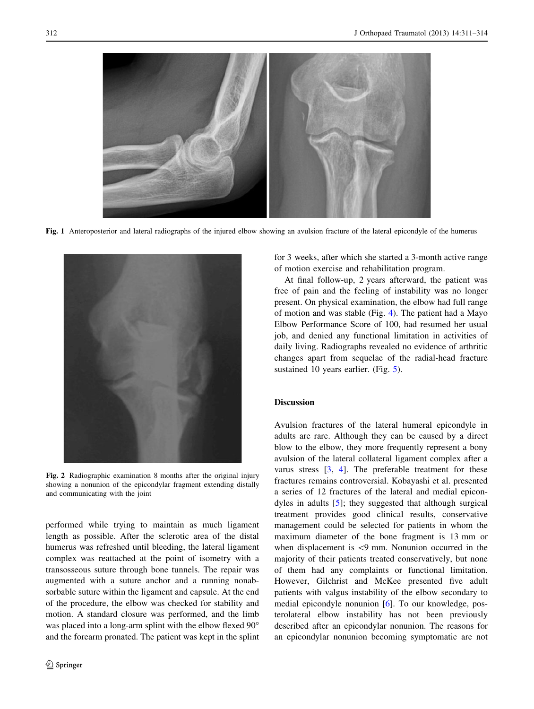<span id="page-1-0"></span>

Fig. 1 Anteroposterior and lateral radiographs of the injured elbow showing an avulsion fracture of the lateral epicondyle of the humerus



Fig. 2 Radiographic examination 8 months after the original injury showing a nonunion of the epicondylar fragment extending distally and communicating with the joint

performed while trying to maintain as much ligament length as possible. After the sclerotic area of the distal humerus was refreshed until bleeding, the lateral ligament complex was reattached at the point of isometry with a transosseous suture through bone tunnels. The repair was augmented with a suture anchor and a running nonabsorbable suture within the ligament and capsule. At the end of the procedure, the elbow was checked for stability and motion. A standard closure was performed, and the limb was placed into a long-arm splint with the elbow flexed 90° and the forearm pronated. The patient was kept in the splint for 3 weeks, after which she started a 3-month active range of motion exercise and rehabilitation program.

At final follow-up, 2 years afterward, the patient was free of pain and the feeling of instability was no longer present. On physical examination, the elbow had full range of motion and was stable (Fig. [4](#page-2-0)). The patient had a Mayo Elbow Performance Score of 100, had resumed her usual job, and denied any functional limitation in activities of daily living. Radiographs revealed no evidence of arthritic changes apart from sequelae of the radial-head fracture sustained 10 years earlier. (Fig. [5](#page-2-0)).

## Discussion

Avulsion fractures of the lateral humeral epicondyle in adults are rare. Although they can be caused by a direct blow to the elbow, they more frequently represent a bony avulsion of the lateral collateral ligament complex after a varus stress [[3,](#page-3-0) [4](#page-3-0)]. The preferable treatment for these fractures remains controversial. Kobayashi et al. presented a series of 12 fractures of the lateral and medial epicondyles in adults [\[5](#page-3-0)]; they suggested that although surgical treatment provides good clinical results, conservative management could be selected for patients in whom the maximum diameter of the bone fragment is 13 mm or when displacement is  $\langle 9 \text{ mm}$ . Nonunion occurred in the majority of their patients treated conservatively, but none of them had any complaints or functional limitation. However, Gilchrist and McKee presented five adult patients with valgus instability of the elbow secondary to medial epicondyle nonunion [\[6](#page-3-0)]. To our knowledge, posterolateral elbow instability has not been previously described after an epicondylar nonunion. The reasons for an epicondylar nonunion becoming symptomatic are not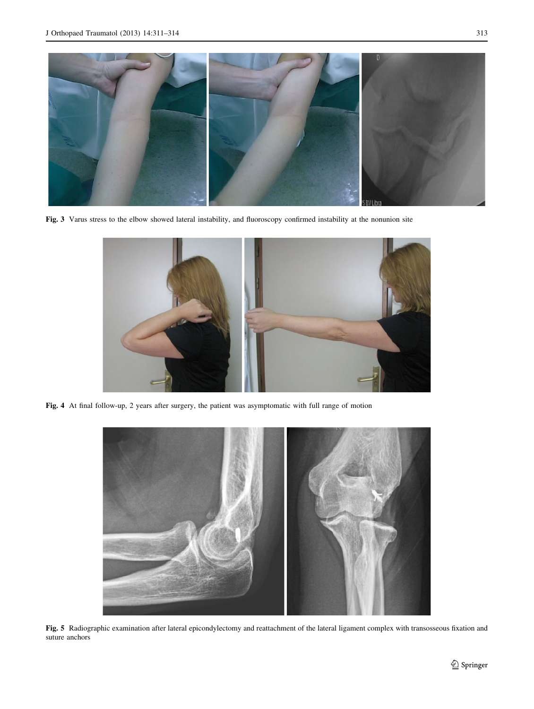<span id="page-2-0"></span>

Fig. 3 Varus stress to the elbow showed lateral instability, and fluoroscopy confirmed instability at the nonunion site



Fig. 4 At final follow-up, 2 years after surgery, the patient was asymptomatic with full range of motion



Fig. 5 Radiographic examination after lateral epicondylectomy and reattachment of the lateral ligament complex with transosseous fixation and suture anchors